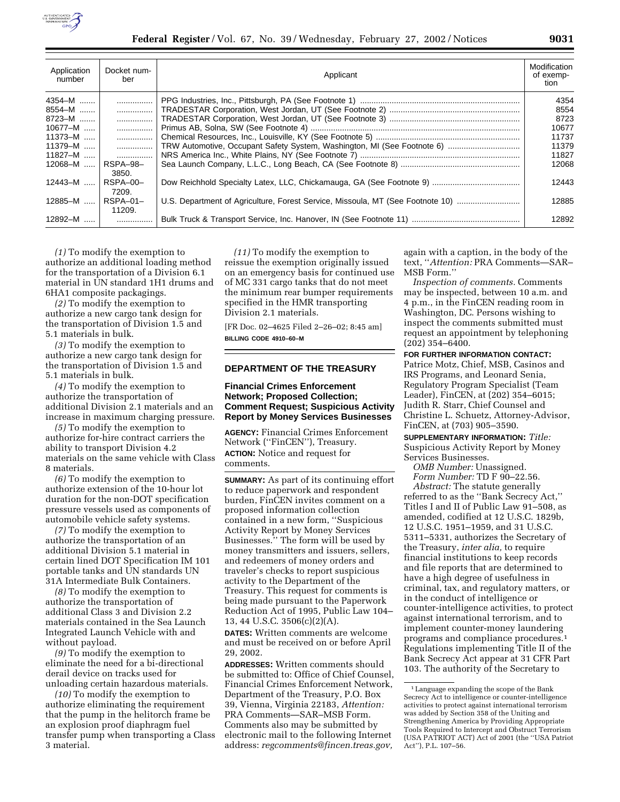

| Application<br>number | Docket num-<br>ber | Applicant                                                                      | Modification<br>of exemp-<br>tion |
|-----------------------|--------------------|--------------------------------------------------------------------------------|-----------------------------------|
| 4354-M                | .                  |                                                                                | 4354                              |
| $8554 - M$            | .                  |                                                                                | 8554                              |
| $8723 - M$            |                    |                                                                                | 8723                              |
| 10677-M               | .                  |                                                                                | 10677                             |
| $11373 - M$           | .                  |                                                                                | 11737                             |
| $11379 - M$           | .                  | TRW Automotive, Occupant Safety System, Washington, MI (See Footnote 6)        | 11379                             |
| $11827 - M$           | .                  |                                                                                | 11827                             |
| 12068-M               | RSPA-98-           |                                                                                | 12068                             |
|                       | 3850.              |                                                                                |                                   |
| $12443 - M$           | RSPA-00-           |                                                                                | 12443                             |
|                       | 7209.              |                                                                                |                                   |
| 12885-M               | RSPA-01-           | U.S. Department of Agriculture, Forest Service, Missoula, MT (See Footnote 10) | 12885                             |
|                       | 11209.             |                                                                                |                                   |
| 12892-M               |                    |                                                                                | 12892                             |
|                       |                    |                                                                                |                                   |

*(1)* To modify the exemption to authorize an additional loading method for the transportation of a Division 6.1 material in UN standard 1H1 drums and 6HA1 composite packagings.

*(2)* To modify the exemption to authorize a new cargo tank design for the transportation of Division 1.5 and 5.1 materials in bulk.

*(3)* To modify the exemption to authorize a new cargo tank design for the transportation of Division 1.5 and 5.1 materials in bulk.

*(4)* To modify the exemption to authorize the transportation of additional Division 2.1 materials and an increase in maximum charging pressure.

*(5)* To modify the exemption to authorize for-hire contract carriers the ability to transport Division 4.2 materials on the same vehicle with Class 8 materials.

*(6)* To modify the exemption to authorize extension of the 10-hour lot duration for the non-DOT specification pressure vessels used as components of automobile vehicle safety systems.

*(7)* To modify the exemption to authorize the transportation of an additional Division 5.1 material in certain lined DOT Specification IM 101 portable tanks and UN standards UN 31A Intermediate Bulk Containers.

*(8)* To modify the exemption to authorize the transportation of additional Class 3 and Division 2.2 materials contained in the Sea Launch Integrated Launch Vehicle with and without payload.

*(9)* To modify the exemption to eliminate the need for a bi-directional derail device on tracks used for unloading certain hazardous materials.

*(10)* To modify the exemption to authorize eliminating the requirement that the pump in the helitorch frame be an explosion proof diaphragm fuel transfer pump when transporting a Class 3 material.

*(11)* To modify the exemption to reissue the exemption originally issued on an emergency basis for continued use of MC 331 cargo tanks that do not meet the minimum rear bumper requirements specified in the HMR transporting Division 2.1 materials.

[FR Doc. 02–4625 Filed 2–26–02; 8:45 am] **BILLING CODE 4910–60–M**

#### **DEPARTMENT OF THE TREASURY**

#### **Financial Crimes Enforcement Network; Proposed Collection; Comment Request; Suspicious Activity Report by Money Services Businesses**

**AGENCY:** Financial Crimes Enforcement Network (''FinCEN''), Treasury. **ACTION:** Notice and request for comments.

**SUMMARY:** As part of its continuing effort to reduce paperwork and respondent burden, FinCEN invites comment on a proposed information collection contained in a new form, ''Suspicious Activity Report by Money Services Businesses.'' The form will be used by money transmitters and issuers, sellers, and redeemers of money orders and traveler's checks to report suspicious activity to the Department of the Treasury. This request for comments is being made pursuant to the Paperwork Reduction Act of 1995, Public Law 104– 13, 44 U.S.C. 3506(c)(2)(A).

**DATES:** Written comments are welcome and must be received on or before April 29, 2002.

**ADDRESSES:** Written comments should be submitted to: Office of Chief Counsel, Financial Crimes Enforcement Network, Department of the Treasury, P.O. Box 39, Vienna, Virginia 22183, *Attention:* PRA Comments—SAR–MSB Form. Comments also may be submitted by electronic mail to the following Internet address: *regcomments@fincen.treas.gov,*

again with a caption, in the body of the text, ''*Attention:* PRA Comments—SAR– MSB Form.''

*Inspection of comments.* Comments may be inspected, between 10 a.m. and 4 p.m., in the FinCEN reading room in Washington, DC. Persons wishing to inspect the comments submitted must request an appointment by telephoning (202) 354–6400.

**FOR FURTHER INFORMATION CONTACT:** Patrice Motz, Chief, MSB, Casinos and IRS Programs, and Leonard Senia, Regulatory Program Specialist (Team Leader), FinCEN, at (202) 354–6015; Judith R. Starr, Chief Counsel and Christine L. Schuetz, Attorney-Advisor, FinCEN, at (703) 905–3590.

**SUPPLEMENTARY INFORMATION:** *Title:* Suspicious Activity Report by Money Services Businesses.

*OMB Number:* Unassigned. *Form Number:* TD F 90–22.56.

*Abstract:* The statute generally referred to as the ''Bank Secrecy Act,'' Titles I and II of Public Law 91–508, as amended, codified at 12 U.S.C. 1829b, 12 U.S.C. 1951–1959, and 31 U.S.C. 5311–5331, authorizes the Secretary of the Treasury, *inter alia,* to require financial institutions to keep records and file reports that are determined to have a high degree of usefulness in criminal, tax, and regulatory matters, or in the conduct of intelligence or counter-intelligence activities, to protect against international terrorism, and to implement counter-money laundering programs and compliance procedures.1 Regulations implementing Title II of the Bank Secrecy Act appear at 31 CFR Part 103. The authority of the Secretary to

<sup>1</sup>Language expanding the scope of the Bank Secrecy Act to intelligence or counter-intelligence activities to protect against international terrorism was added by Section 358 of the Uniting and Strengthening America by Providing Appropriate Tools Required to Intercept and Obstruct Terrorism (USA PATRIOT ACT) Act of 2001 (the ''USA Patriot Act''), P.L. 107–56.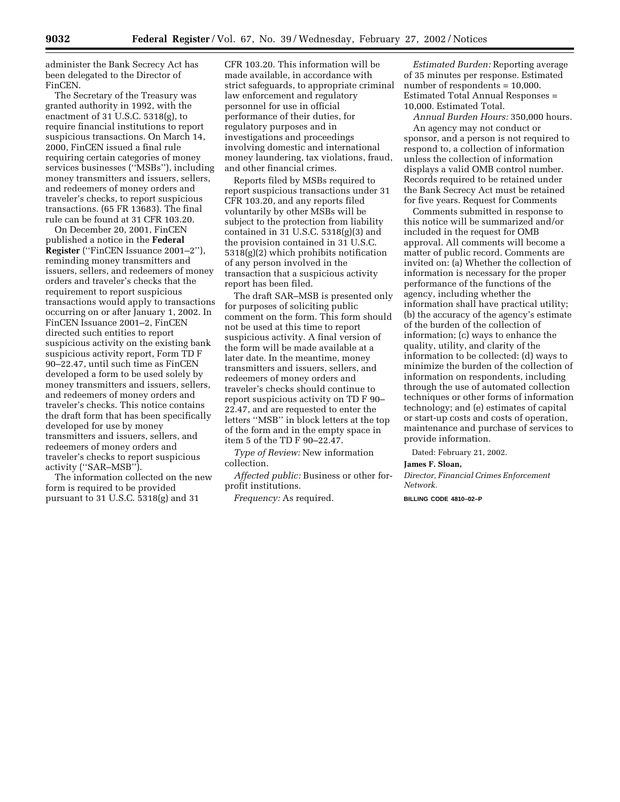administer the Bank Secrecy Act has been delegated to the Director of FinCEN.

The Secretary of the Treasury was granted authority in 1992, with the enactment of 31 U.S.C. 5318(g), to require financial institutions to report suspicious transactions. On March 14, 2000, FinCEN issued a final rule requiring certain categories of money services businesses (''MSBs''), including money transmitters and issuers, sellers, and redeemers of money orders and traveler's checks, to report suspicious transactions. (65 FR 13683). The final rule can be found at 31 CFR 103.20.

On December 20, 2001, FinCEN published a notice in the **Federal Register** (''FinCEN Issuance 2001–2''), reminding money transmitters and issuers, sellers, and redeemers of money orders and traveler's checks that the requirement to report suspicious transactions would apply to transactions occurring on or after January 1, 2002. In FinCEN Issuance 2001–2, FinCEN directed such entities to report suspicious activity on the existing bank suspicious activity report, Form TD F 90–22.47, until such time as FinCEN developed a form to be used solely by money transmitters and issuers, sellers, and redeemers of money orders and traveler's checks. This notice contains the draft form that has been specifically developed for use by money transmitters and issuers, sellers, and redeemers of money orders and traveler's checks to report suspicious activity (''SAR–MSB'').

The information collected on the new form is required to be provided pursuant to 31 U.S.C. 5318(g) and 31

CFR 103.20. This information will be made available, in accordance with strict safeguards, to appropriate criminal law enforcement and regulatory personnel for use in official performance of their duties, for regulatory purposes and in investigations and proceedings involving domestic and international money laundering, tax violations, fraud, and other financial crimes.

Reports filed by MSBs required to report suspicious transactions under 31 CFR 103.20, and any reports filed voluntarily by other MSBs will be subject to the protection from liability contained in 31 U.S.C. 5318(g)(3) and the provision contained in 31 U.S.C. 5318(g)(2) which prohibits notification of any person involved in the transaction that a suspicious activity report has been filed.

The draft SAR–MSB is presented only for purposes of soliciting public comment on the form. This form should not be used at this time to report suspicious activity. A final version of the form will be made available at a later date. In the meantime, money transmitters and issuers, sellers, and redeemers of money orders and traveler's checks should continue to report suspicious activity on TD F 90– 22.47, and are requested to enter the letters ''MSB'' in block letters at the top of the form and in the empty space in item 5 of the TD F 90–22.47.

*Type of Review:* New information collection.

*Affected public:* Business or other forprofit institutions.

*Frequency:* As required.

*Estimated Burden:* Reporting average of 35 minutes per response. Estimated number of respondents = 10,000. Estimated Total Annual Responses = 10,000. Estimated Total.

*Annual Burden Hours:* 350,000 hours. An agency may not conduct or sponsor, and a person is not required to respond to, a collection of information unless the collection of information displays a valid OMB control number. Records required to be retained under the Bank Secrecy Act must be retained for five years. Request for Comments

Comments submitted in response to this notice will be summarized and/or included in the request for OMB approval. All comments will become a matter of public record. Comments are invited on: (a) Whether the collection of information is necessary for the proper performance of the functions of the agency, including whether the information shall have practical utility; (b) the accuracy of the agency's estimate of the burden of the collection of information; (c) ways to enhance the quality, utility, and clarity of the information to be collected: (d) ways to minimize the burden of the collection of information on respondents, including through the use of automated collection techniques or other forms of information technology; and (e) estimates of capital or start-up costs and costs of operation, maintenance and purchase of services to provide information.

Dated: February 21, 2002.

#### **James F. Sloan,**

*Director, Financial Crimes Enforcement Network.*

**BILLING CODE 4810–02–P**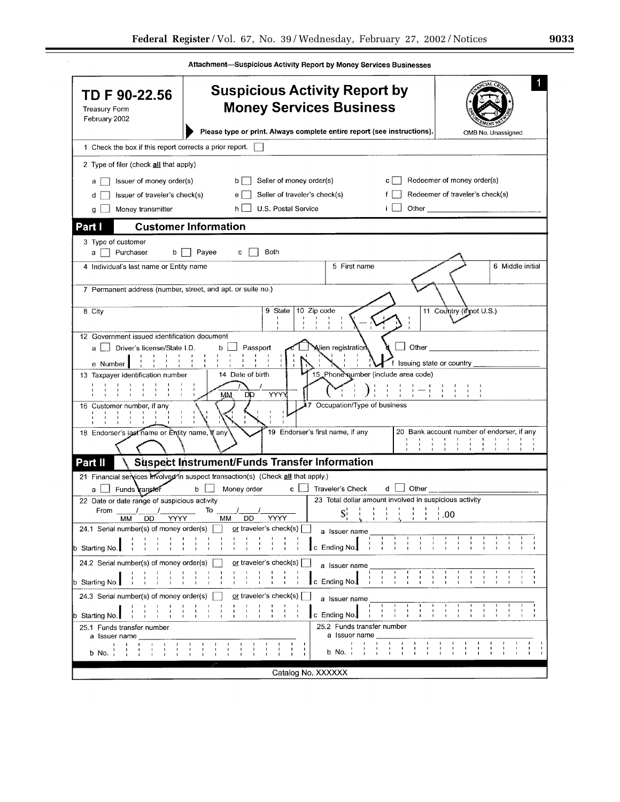Attachment-Suspicious Activity Report by Money Services Businesses

| TD F 90-22.56<br><b>Treasury Form</b><br>February 2002                                                                        | <b>Suspicious Activity Report by</b>                                                    | <b>Money Services Business</b>                         |                                                                                                                                                           |                            |                                            |  |  |
|-------------------------------------------------------------------------------------------------------------------------------|-----------------------------------------------------------------------------------------|--------------------------------------------------------|-----------------------------------------------------------------------------------------------------------------------------------------------------------|----------------------------|--------------------------------------------|--|--|
|                                                                                                                               | Please type or print. Always complete entire report (see instructions).                 |                                                        |                                                                                                                                                           |                            | OMB No. Unassigned                         |  |  |
| 1 Check the box if this report corrects a prior report.                                                                       |                                                                                         |                                                        |                                                                                                                                                           |                            |                                            |  |  |
| 2 Type of filer (check all that apply)                                                                                        |                                                                                         |                                                        |                                                                                                                                                           |                            |                                            |  |  |
| Issuer of money order(s)<br>a                                                                                                 | Seller of money order(s)<br>b <sub>1</sub>                                              |                                                        | c                                                                                                                                                         | Redeemer of money order(s) |                                            |  |  |
| Redeemer of traveler's check(s)<br>Seller of traveler's check(s)<br>Issuer of traveler's check(s)<br>f<br>e <sub>1</sub><br>d |                                                                                         |                                                        |                                                                                                                                                           |                            |                                            |  |  |
| Money transmitter<br>$g_{\parallel}$                                                                                          | U.S. Postal Service<br>h L                                                              |                                                        | i.                                                                                                                                                        |                            |                                            |  |  |
| Part I                                                                                                                        | <b>Customer Information</b>                                                             |                                                        |                                                                                                                                                           |                            |                                            |  |  |
| 3 Type of customer<br>Purchaser<br>a                                                                                          | $b \mid \cdot \mid$ Payee<br>Both<br>$\mathbf{c}$                                       |                                                        |                                                                                                                                                           |                            |                                            |  |  |
| 4 Individual's last name or Entity name                                                                                       |                                                                                         | 5 First name                                           |                                                                                                                                                           |                            | 6 Middle initial                           |  |  |
|                                                                                                                               |                                                                                         |                                                        |                                                                                                                                                           |                            |                                            |  |  |
| 7 Permanent address (number, street, and apt. or suite no.)                                                                   |                                                                                         |                                                        |                                                                                                                                                           |                            |                                            |  |  |
| 8 City                                                                                                                        |                                                                                         | 9 State   10 Zip code                                  |                                                                                                                                                           | 11 Country (if not U.S.)   |                                            |  |  |
| 12 Government issued identification document                                                                                  |                                                                                         |                                                        |                                                                                                                                                           |                            |                                            |  |  |
| Driver's license/State I.D.<br>a l                                                                                            | Passport<br>b                                                                           | ଏ ien registration                                     | $\Box$ Other                                                                                                                                              |                            |                                            |  |  |
| e Number<br>13 Taxpayer identification number                                                                                 | 14 Date of birth                                                                        | ้15_Phone้ อุบmber (include area code)                 | f Issuing state or country                                                                                                                                |                            |                                            |  |  |
|                                                                                                                               |                                                                                         |                                                        | $\frac{1}{2}$ $\frac{1}{2}$ $\frac{1}{2}$ $\frac{1}{2}$ $\frac{1}{2}$ $\frac{1}{2}$ $\frac{1}{2}$ $\frac{1}{2}$ $\frac{1}{2}$ $\frac{1}{2}$ $\frac{1}{2}$ |                            |                                            |  |  |
| 16 Customer number, if any                                                                                                    | YYYY<br>DD<br>MM.                                                                       | #7 Occupation/Type of business                         |                                                                                                                                                           |                            |                                            |  |  |
|                                                                                                                               |                                                                                         |                                                        |                                                                                                                                                           |                            |                                            |  |  |
| 18 Endorser's last hame or Entity name, if any                                                                                |                                                                                         | 19 Endorser's first name, if any                       |                                                                                                                                                           |                            | 20 Bank account number of endorser, if any |  |  |
|                                                                                                                               |                                                                                         |                                                        |                                                                                                                                                           | $\frac{1}{2}$              |                                            |  |  |
| Part II                                                                                                                       | <b>Suspect Instrument/Funds Transfer Information</b>                                    |                                                        |                                                                                                                                                           |                            |                                            |  |  |
|                                                                                                                               | 21 Financial services <b>involved</b> in suspect transaction(s) (Check all that apply.) | $c \perp$<br>Traveler's Check                          |                                                                                                                                                           |                            |                                            |  |  |
| <b>∐</b> Funds transfer<br>a I<br>22 Date or date range of suspicious activity                                                | Money order<br>$\mathbf{b}$ $\mathbf{L}$                                                | 23 Total dollar amount involved in suspicious activity | Other<br>d l                                                                                                                                              |                            |                                            |  |  |
| From<br>MM<br>YYYY<br>DD                                                                                                      | To<br>DD<br>YYYY<br>MМ                                                                  | \$i                                                    |                                                                                                                                                           | $\pm 0.00$                 |                                            |  |  |
| 24.1 Serial number(s) of money order(s)                                                                                       | or traveler's check(s)                                                                  | a Issuer name                                          |                                                                                                                                                           |                            |                                            |  |  |
| b Starting No.                                                                                                                |                                                                                         | c Ending No.                                           |                                                                                                                                                           |                            |                                            |  |  |
| 24.2 Serial number(s) of money order(s)                                                                                       | or traveler's check(s)                                                                  | a Issuer name                                          |                                                                                                                                                           |                            |                                            |  |  |
| b Starting No.                                                                                                                |                                                                                         | $\ $ c Ending No.                                      |                                                                                                                                                           |                            |                                            |  |  |
| 24.3 Serial number(s) of money order(s)                                                                                       | or traveler's check(s)                                                                  | a Issuer name                                          |                                                                                                                                                           |                            |                                            |  |  |
| b Starting No.                                                                                                                |                                                                                         | c Ending No.                                           |                                                                                                                                                           |                            |                                            |  |  |
| 25.1 Funds transfer number<br>a Issuer name                                                                                   |                                                                                         | 25.2 Funds transfer number<br>a Issuer name            |                                                                                                                                                           |                            |                                            |  |  |
| $b$ No. $i$                                                                                                                   |                                                                                         | $\frac{1}{1}$<br>b No.                                 |                                                                                                                                                           |                            |                                            |  |  |
|                                                                                                                               |                                                                                         | Catalog No. XXXXXX                                     |                                                                                                                                                           |                            |                                            |  |  |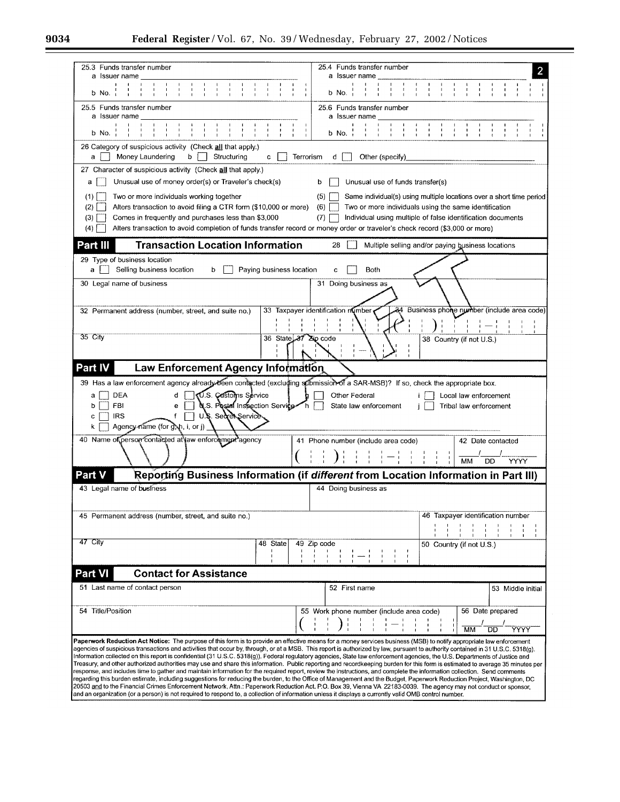| 25.3 Funds transfer number                                                                                                                                                                                                                                                                                                                                    | 25.4 Funds transfer number<br>2                                                     |  |  |  |  |  |  |
|---------------------------------------------------------------------------------------------------------------------------------------------------------------------------------------------------------------------------------------------------------------------------------------------------------------------------------------------------------------|-------------------------------------------------------------------------------------|--|--|--|--|--|--|
| a Issuer name                                                                                                                                                                                                                                                                                                                                                 | a Issuer name                                                                       |  |  |  |  |  |  |
| b No.                                                                                                                                                                                                                                                                                                                                                         | b No.                                                                               |  |  |  |  |  |  |
| 25.5 Funds transfer number<br>a Issuer name                                                                                                                                                                                                                                                                                                                   | 25.6 Funds transfer number<br>a Issuer name                                         |  |  |  |  |  |  |
| b No.                                                                                                                                                                                                                                                                                                                                                         | b No.                                                                               |  |  |  |  |  |  |
| 26 Category of suspicious activity (Check all that apply.)                                                                                                                                                                                                                                                                                                    |                                                                                     |  |  |  |  |  |  |
| Money Laundering<br>b<br>Structuring<br>Terrorism<br>d<br>Other (specify)<br>a<br>C                                                                                                                                                                                                                                                                           |                                                                                     |  |  |  |  |  |  |
| 27 Character of suspicious activity (Check all that apply.)                                                                                                                                                                                                                                                                                                   |                                                                                     |  |  |  |  |  |  |
| Unusual use of money order(s) or Traveler's check(s)<br>Unusual use of funds transfer(s)<br>a                                                                                                                                                                                                                                                                 |                                                                                     |  |  |  |  |  |  |
| Same individual(s) using multiple locations over a short time period<br>Two or more individuals working together<br>(1)<br>(5)<br>Alters transaction to avoid filing a CTR form (\$10,000 or more)<br>Two or more individuals using the same identification<br>(6)<br>(2)                                                                                     |                                                                                     |  |  |  |  |  |  |
| Comes in frequently and purchases less than \$3,000<br>(3)                                                                                                                                                                                                                                                                                                    | (7)<br>Individual using multiple of false identification documents                  |  |  |  |  |  |  |
| (4)<br>Alters transaction to avoid completion of funds transfer record or money order or traveler's check record (\$3,000 or more)                                                                                                                                                                                                                            |                                                                                     |  |  |  |  |  |  |
| <b>Transaction Location Information</b><br>Part III                                                                                                                                                                                                                                                                                                           | 28<br>Multiple selling and/or paying business locations                             |  |  |  |  |  |  |
| 29 Type of business location                                                                                                                                                                                                                                                                                                                                  |                                                                                     |  |  |  |  |  |  |
| Selling business location<br>Paying business location<br>a l<br>b.<br>30 Legal name of business                                                                                                                                                                                                                                                               | Both<br>с<br>31 Doing business as                                                   |  |  |  |  |  |  |
|                                                                                                                                                                                                                                                                                                                                                               |                                                                                     |  |  |  |  |  |  |
| 32 Permanent address (number, street, and suite no.)                                                                                                                                                                                                                                                                                                          | 34 Business phone number (include area code)<br>33 Taxpayer identification number   |  |  |  |  |  |  |
|                                                                                                                                                                                                                                                                                                                                                               |                                                                                     |  |  |  |  |  |  |
| 35 City<br>36 State 37 Zip code                                                                                                                                                                                                                                                                                                                               | 38 Country (if not U.S.)                                                            |  |  |  |  |  |  |
|                                                                                                                                                                                                                                                                                                                                                               |                                                                                     |  |  |  |  |  |  |
| Part IV<br>Law Enforcement Agency Information                                                                                                                                                                                                                                                                                                                 |                                                                                     |  |  |  |  |  |  |
| 39 Has a law enforcement agency already been contacted (excluding spibmission of a SAR-MSB)? If so, check the appropriate box.                                                                                                                                                                                                                                |                                                                                     |  |  |  |  |  |  |
| (U.S. Castoms Service<br>DEA<br>a                                                                                                                                                                                                                                                                                                                             | Other Federal<br>Local law enforcement                                              |  |  |  |  |  |  |
| N.S. Postal Inspection Service<br>FBI<br>b<br>h.<br>U.S. Secret Service<br><b>IRS</b><br>с                                                                                                                                                                                                                                                                    | State law enforcement<br>Tribal law enforcement<br>Ť.                               |  |  |  |  |  |  |
| Agency-name (for gxh, i, or j)<br>ĸ                                                                                                                                                                                                                                                                                                                           |                                                                                     |  |  |  |  |  |  |
| 40 Name of person contacted at yaw enforcement agency                                                                                                                                                                                                                                                                                                         | 41 Phone number (include area code)<br>42 Date contacted                            |  |  |  |  |  |  |
|                                                                                                                                                                                                                                                                                                                                                               | MM<br>DD<br>YYYY                                                                    |  |  |  |  |  |  |
| Part V                                                                                                                                                                                                                                                                                                                                                        | Reporting Business Information (if different from Location Information in Part III) |  |  |  |  |  |  |
| 43 Legal name of business                                                                                                                                                                                                                                                                                                                                     | 44 Doing business as                                                                |  |  |  |  |  |  |
|                                                                                                                                                                                                                                                                                                                                                               |                                                                                     |  |  |  |  |  |  |
| 45 Permanent address (number, street, and suite no.)                                                                                                                                                                                                                                                                                                          | 46 Taxpayer identification number                                                   |  |  |  |  |  |  |
|                                                                                                                                                                                                                                                                                                                                                               | $\mathbf{I}$                                                                        |  |  |  |  |  |  |
| 47 City<br>48 State                                                                                                                                                                                                                                                                                                                                           | 49 Zip code<br>50 Country (if not U.S.)                                             |  |  |  |  |  |  |
|                                                                                                                                                                                                                                                                                                                                                               |                                                                                     |  |  |  |  |  |  |
| Part VI<br><b>Contact for Assistance</b>                                                                                                                                                                                                                                                                                                                      |                                                                                     |  |  |  |  |  |  |
| 51 Last name of contact person                                                                                                                                                                                                                                                                                                                                | 52 First name<br>53 Middle initial                                                  |  |  |  |  |  |  |
| 54 Title/Position                                                                                                                                                                                                                                                                                                                                             | 56 Date prepared<br>55 Work phone number (include area code)                        |  |  |  |  |  |  |
|                                                                                                                                                                                                                                                                                                                                                               |                                                                                     |  |  |  |  |  |  |
| MМ<br>DD<br>YYYŸ<br>Paperwork Reduction Act Notice: The purpose of this form is to provide an effective means for a money services business (MSB) to notify appropriate law enforcement                                                                                                                                                                       |                                                                                     |  |  |  |  |  |  |
| agencies of suspicious transactions and activities that occur by, through, or at a MSB. This report is authorized by law, pursuant to authority contained in 31 U.S.C. 5318(g).<br>Information collected on this report is confidential (31 U.S.C. 5318(g)). Federal regulatory agencies, State law enforcement agencies, the U.S. Departments of Justice and |                                                                                     |  |  |  |  |  |  |
| Treasury, and other authorized authorities may use and share this information. Public reporting and recordkeeping burden for this form is estimated to average 35 minutes per<br>response, and includes time to gather and maintain information for the required report, review the instructions, and complete the information collection. Send comments      |                                                                                     |  |  |  |  |  |  |
| regarding this burden estimate, including suggestions for reducing the burden, to the Office of Management and the Budget, Paperwork Reduction Project, Washington, DC<br>20503 and to the Financial Crimes Enforcement Network, Attn.: Paperwork Reduction Act. P.O. Box 39, Vienna VA 22183-0039. The agency may not conduct or sponsor,                    |                                                                                     |  |  |  |  |  |  |
| and an organization (or a person) is not required to respond to, a collection of information unless it displays a currently valid OMB control number.                                                                                                                                                                                                         |                                                                                     |  |  |  |  |  |  |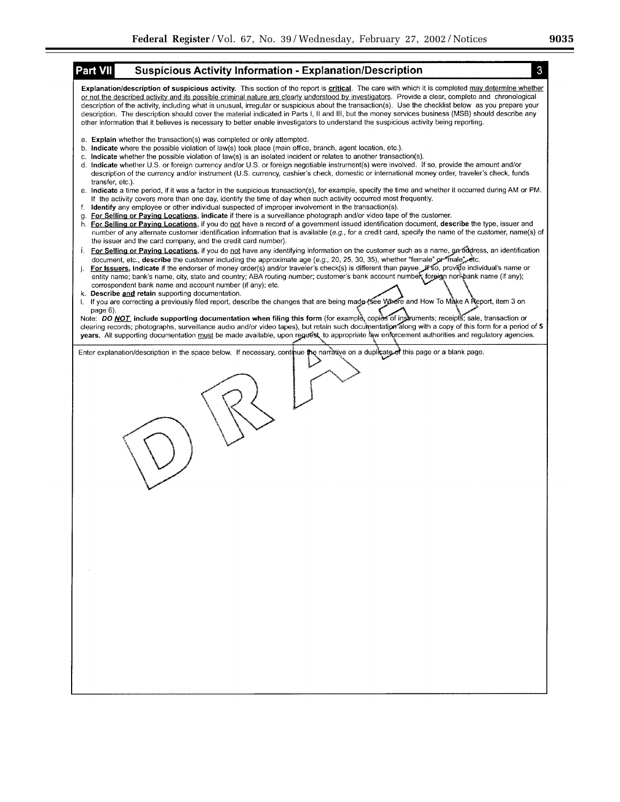# Part VII **Suspicious Activity Information - Explanation/Description** 3 Explanation/description of suspicious activity. This section of the report is critical. The care with which it is completed may determine whether or not the described activity and its possible criminal nature are clearly understood by investigators. Provide a clear, complete and chronological description of the activity, including what is unusual, irregular or suspicious about the transaction(s). Use the checklist below as you prepare your description. The description should cover the material indicated in Parts I, II and III, but the money services business (MSB) should describe any other information that it believes is necessary to better enable investigators to understand the suspicious activity being reporting. a. Explain whether the transaction(s) was completed or only attempted. b. Indicate where the possible violation of law(s) took place (main office, branch, agent location, etc.). c. Indicate whether the possible violation of law(s) is an isolated incident or relates to another transaction(s). d. Indicate whether U.S. or foreign currency and/or U.S. or foreign negotiable instrument(s) were involved. If so, provide the amount and/or description of the currency and/or instrument (U.S. currency, cashier's check, domestic or international money order, traveler's check, funds transfer, etc.). e. Indicate a time period, if it was a factor in the suspicious transaction(s), for example, specify the time and whether it occurred during AM or PM. If the activity covers more than one day, identify the time of day when such activity occurred most frequently. f. Identify any employee or other individual suspected of improper involvement in the transaction(s). g. For Selling or Paying Locations, indicate if there is a surveillance photograph and/or video tape of the customer. h. For Selling or Paying Locations, if you do not have a record of a government issued identification document, describe the type, issuer and number of any alternate customer identification information that is available (e.g., for a credit card, specify the name of the customer, name(s) of the issuer and the card company, and the credit card number). For Selling or Paying Locations, if you do not have any identifying information on the customer such as a name, gn address, an identification j. document, etc., describe the customer including the approximate age (e.g., 20, 25, 30, 35), whether "female" or male" etc. Continue to the control of the endorser of money order(s) and/or traveler's check(s) is different than payee. If so, provide individual's name or<br>Entity name; bank's name, city, state and country; ABA routing number; custo j. correspondent bank name and account number (if any); etc. Describe and retain supporting documentation. If you are correcting a previously filed report, describe the changes that are being made (see Where and How To Make A Report, item 3 on page 6). Note: DO NOT include supporting documentation when filing this form (for example, copies of instruments; receipts, sale, transaction or clearing records; photographs, surveillance audio and/or video tapes), but retain such documentation along with a copy of this form for a period of 5 years. All supporting documentation must be made available, upon reguest, to appropriate taw enforcement authorities and regulatory agencies. Enter explanation/description in the space below. If necessary, continue the narrative on a duplicate of this page or a blank page.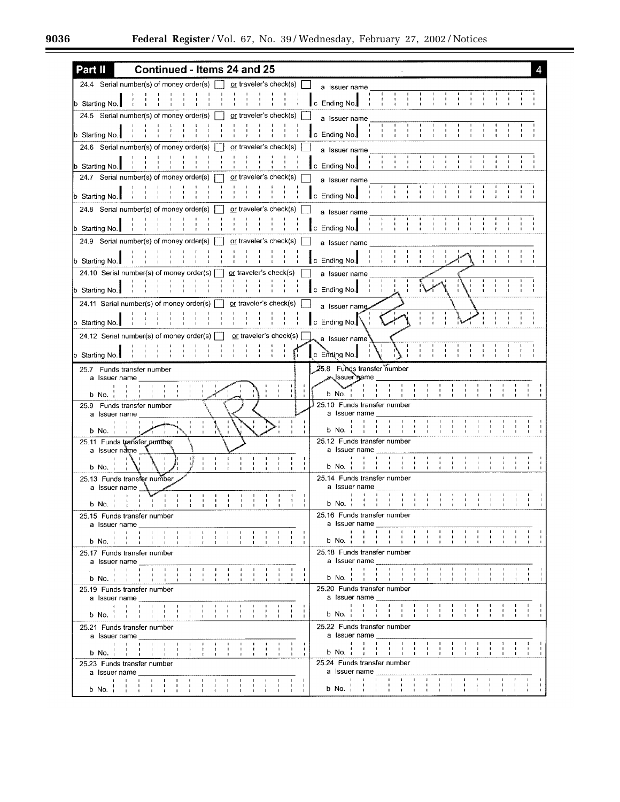$\equiv$ 

| Continued - Items 24 and 25<br>Part II                                                                                                                                                                                                                |                                                                                                                                                                                                                                                            |
|-------------------------------------------------------------------------------------------------------------------------------------------------------------------------------------------------------------------------------------------------------|------------------------------------------------------------------------------------------------------------------------------------------------------------------------------------------------------------------------------------------------------------|
| 24.4 Serial number(s) of money order(s)<br>or traveler's check(s)                                                                                                                                                                                     | a Issuer name                                                                                                                                                                                                                                              |
| b Starting No.                                                                                                                                                                                                                                        | c Ending No.                                                                                                                                                                                                                                               |
| 24.5 Serial number(s) of money order(s)<br>or traveler's check(s)                                                                                                                                                                                     | a Issuer name                                                                                                                                                                                                                                              |
| b Starting No.                                                                                                                                                                                                                                        | c Ending No.                                                                                                                                                                                                                                               |
| 24.6 Serial number(s) of money order(s)<br>or traveler's check(s)                                                                                                                                                                                     | a Issuer name                                                                                                                                                                                                                                              |
| b Starting No.                                                                                                                                                                                                                                        | c Ending No.                                                                                                                                                                                                                                               |
| 24.7 Serial number(s) of money order(s)<br>or traveler's check(s)                                                                                                                                                                                     | a Issuer name                                                                                                                                                                                                                                              |
| b Starting No.                                                                                                                                                                                                                                        | c Ending No.                                                                                                                                                                                                                                               |
| 24.8 Serial number(s) of money order(s)<br>or traveler's check(s)                                                                                                                                                                                     | a Issuer name                                                                                                                                                                                                                                              |
| b Starting No.                                                                                                                                                                                                                                        | c Ending No.                                                                                                                                                                                                                                               |
| 24.9 Serial number(s) of money order(s)<br>or traveler's check(s)                                                                                                                                                                                     | a Issuer name                                                                                                                                                                                                                                              |
| b Starting No.                                                                                                                                                                                                                                        | c Ending No.                                                                                                                                                                                                                                               |
| 24.10 Serial number(s) of money order(s)<br>or traveler's check(s)                                                                                                                                                                                    | a Issuer name                                                                                                                                                                                                                                              |
| b Starting No.                                                                                                                                                                                                                                        | c Ending No.                                                                                                                                                                                                                                               |
| 24.11 Serial number(s) of money order(s)<br>or traveler's check(s)                                                                                                                                                                                    | a Issuer name                                                                                                                                                                                                                                              |
| b Starting No.                                                                                                                                                                                                                                        | c Ending No.                                                                                                                                                                                                                                               |
| 24.12 Serial number(s) of money order(s)<br>or traveler's check(s)                                                                                                                                                                                    | a Issuer name                                                                                                                                                                                                                                              |
| b Starting No.                                                                                                                                                                                                                                        | .c Eriding No.                                                                                                                                                                                                                                             |
| 25.7 Funds transfer number<br>a Issuer name                                                                                                                                                                                                           | 25.8 Funds transfer number<br>a Jssuer`name                                                                                                                                                                                                                |
| b No.                                                                                                                                                                                                                                                 | b No.                                                                                                                                                                                                                                                      |
| 25.9 Funds transfer number                                                                                                                                                                                                                            | 25.10 Funds transfer number<br>a Issuer name                                                                                                                                                                                                               |
| a Issuer name<br>b No.                                                                                                                                                                                                                                | b No.                                                                                                                                                                                                                                                      |
| 25.11 Funds transfer pumber                                                                                                                                                                                                                           | 25.12 Funds transfer number<br>a Issuer name                                                                                                                                                                                                               |
| a Issuername<br>b No.                                                                                                                                                                                                                                 | b No.                                                                                                                                                                                                                                                      |
| 25.13 Funds transfer number                                                                                                                                                                                                                           | 25.14 Funds transfer number                                                                                                                                                                                                                                |
| a Issuer name                                                                                                                                                                                                                                         | a Issuer name                                                                                                                                                                                                                                              |
| b No.                                                                                                                                                                                                                                                 | b No.                                                                                                                                                                                                                                                      |
| 25.15 Funds transfer number<br>a Issuer name                                                                                                                                                                                                          | 25.16 Funds transfer number<br>a Issuer name                                                                                                                                                                                                               |
| $\blacksquare$<br>$\blacksquare$<br>$\mathbf{1}$<br>- 11<br>$\mathbf{L}$<br>$\mathbf{I}$<br>$b$ No. $i$                                                                                                                                               | п.<br>$b$ No. $i$                                                                                                                                                                                                                                          |
| 25.17 Funds transfer number                                                                                                                                                                                                                           | 25.18 Funds transfer number                                                                                                                                                                                                                                |
| a Issuer name<br>$\mathbf{1}$<br>$\blacksquare$<br>$\overline{1}$<br>$\mathbf{I}$<br>п                                                                                                                                                                | a Issuer name                                                                                                                                                                                                                                              |
| $\mathbf{I}$<br>$\mathbf{I}$<br>b No.;<br>$\mathbf{I}$                                                                                                                                                                                                | $\mathbf{1}$<br>$\blacksquare$<br>$\mathbf{I}$<br>b No. i                                                                                                                                                                                                  |
| 25.19 Funds transfer number<br>a Issuer name                                                                                                                                                                                                          | 25.20 Funds transfer number<br>a Issuer name                                                                                                                                                                                                               |
| $\mathbf{I}$<br>$\blacksquare$<br>$\blacksquare$<br>$\mathbf{I}$<br>b No.                                                                                                                                                                             | $\mathbf{L}$<br>- 1<br>b No. i                                                                                                                                                                                                                             |
| 25.21 Funds transfer number                                                                                                                                                                                                                           | 25.22 Funds transfer number<br>a Issuer name                                                                                                                                                                                                               |
| a Issuer name<br>$\mathbf{I}$<br>$\blacksquare$<br>- 11<br>$\mathbf{I}$<br>$\mathbf{1}$<br>$\mathbf{L}$<br>$\mathbf{I}$<br>$\mathbf{I}$<br>$\mathbf{I}$<br>$\mathbf{L}$<br>л.<br>$\mathbf{L}$<br>$\mathbf{I}$<br>$\blacksquare$<br>$\mathbf{1}$<br>л. | $\blacksquare$<br>$\mathbf{I}$<br>$\mathbf{I}$<br>$\blacksquare$<br>$\mathbf{L}$<br>- 11<br>$\blacksquare$<br>$\blacksquare$<br>$\blacksquare$<br>$\mathbf{I}$<br>$\mathbf{I}$<br>$\blacksquare$<br>$\mathbf{I}$<br>-1<br>$\blacksquare$<br>- 11 -<br>- 11 |
| b No.<br>$\mathbf{1}$                                                                                                                                                                                                                                 | b No. i<br>$\mathbf{I}$<br>25.24 Funds transfer number                                                                                                                                                                                                     |
| 25.23 Funds transfer number<br>a Issuer name                                                                                                                                                                                                          | a Issuer name                                                                                                                                                                                                                                              |
| $\blacksquare$<br>b No.                                                                                                                                                                                                                               | $\mathbf{L}$<br>$-1$ $-1$<br>$\mathbf{I}$<br>$\mathbf{L}$<br>$\blacksquare$<br>- 11<br>$b$ No. $_1$<br>$\mathbf{1}$ $\mathbf{1}$<br>$\mathbf{I}$                                                                                                           |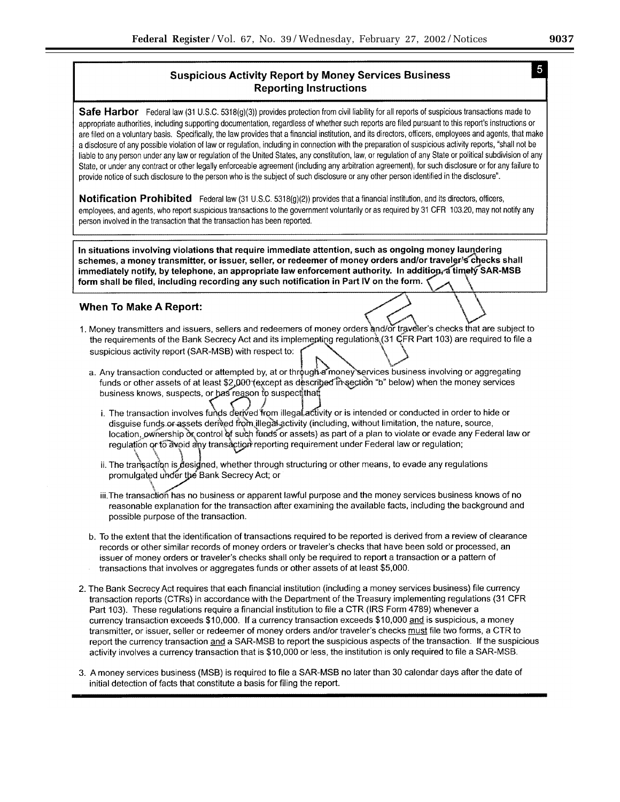# **Suspicious Activity Report by Money Services Business Reporting Instructions**

Safe Harbor Federal law (31 U.S.C. 5318(g)(3)) provides protection from civil liability for all reports of suspicious transactions made to appropriate authorities, including supporting documentation, regardless of whether such reports are filed pursuant to this report's instructions or are filed on a voluntary basis. Specifically, the law provides that a financial institution, and its directors, officers, employees and agents, that make a disclosure of any possible violation of law or regulation, including in connection with the preparation of suspicious activity reports, "shall not be liable to any person under any law or regulation of the United States, any constitution, law, or regulation of any State or political subdivision of any State, or under any contract or other legally enforceable agreement (including any arbitration agreement), for such disclosure or for any failure to provide notice of such disclosure to the person who is the subject of such disclosure or any other person identified in the disclosure".

Notification Prohibited Federal law (31 U.S.C. 5318(g)(2)) provides that a financial institution, and its directors, officers, employees, and agents, who report suspicious transactions to the government voluntarily or as required by 31 CFR 103.20, may not notify any person involved in the transaction that the transaction has been reported.

In situations involving violations that require immediate attention, such as ongoing money laundering schemes, a money transmitter, or issuer, seller, or redeemer of money orders and/or traveler's checks shall immediately notify, by telephone, an appropriate law enforcement authority. In addition, a timely SAR-MSB form shall be filed, including recording any such notification in Part IV on the form.

# **When To Make A Report:**

- 1. Money transmitters and issuers, sellers and redeemers of money orders and/or traveler's checks that are subject to the requirements of the Bank Secrecy Act and its implementing regulations (31 CFR Part 103) are required to file a suspicious activity report (SAR-MSB) with respect to:
	- a. Any transaction conducted or attempted by, at or through of money services business involving or aggregating funds or other assets of at least \$2,000 (except as described in section "b" below) when the money services business knows, suspects, or has reason to suspect that
		- i. The transaction involves funds derived from illegal activity or is intended or conducted in order to hide or disguise funds or assets derived from illegal activity (including, without limitation, the nature, source, location, ownership or control of such funds or assets) as part of a plan to violate or evade any Federal law or regulation or to avoid any transaction reporting requirement under Federal law or regulation;
		- ii. The transaction is designed, whether through structuring or other means, to evade any regulations promulgated under the Bank Secrecy Act; or
		- iii. The transaction has no business or apparent lawful purpose and the money services business knows of no reasonable explanation for the transaction after examining the available facts, including the background and possible purpose of the transaction.
	- b. To the extent that the identification of transactions required to be reported is derived from a review of clearance records or other similar records of money orders or traveler's checks that have been sold or processed, an issuer of money orders or traveler's checks shall only be required to report a transaction or a pattern of transactions that involves or aggregates funds or other assets of at least \$5,000.
- 2. The Bank Secrecy Act requires that each financial institution (including a money services business) file currency transaction reports (CTRs) in accordance with the Department of the Treasury implementing regulations (31 CFR Part 103). These regulations require a financial institution to file a CTR (IRS Form 4789) whenever a currency transaction exceeds \$10,000. If a currency transaction exceeds \$10,000 and is suspicious, a money transmitter, or issuer, seller or redeemer of money orders and/or traveler's checks must file two forms, a CTR to report the currency transaction and a SAR-MSB to report the suspicious aspects of the transaction. If the suspicious activity involves a currency transaction that is \$10,000 or less, the institution is only required to file a SAR-MSB.
- 3. A money services business (MSB) is required to file a SAR-MSB no later than 30 calendar days after the date of initial detection of facts that constitute a basis for filing the report.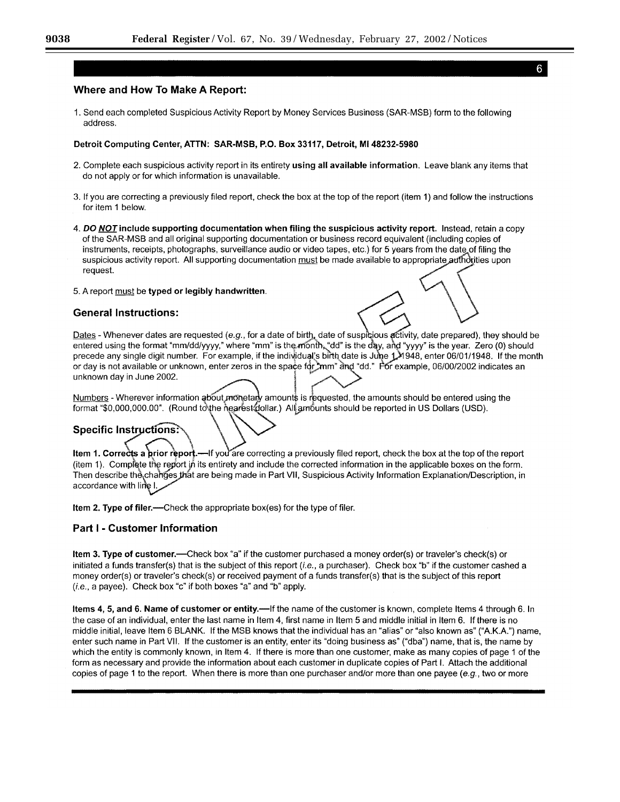#### **Where and How To Make A Report:**

1. Send each completed Suspicious Activity Report by Money Services Business (SAR-MSB) form to the following address.

#### Detroit Computing Center, ATTN: SAR-MSB, P.O. Box 33117, Detroit, MI 48232-5980

- 2. Complete each suspicious activity report in its entirety using all available information. Leave blank any items that do not apply or for which information is unavailable.
- 3. If you are correcting a previously filed report, check the box at the top of the report (item 1) and follow the instructions for item 1 below.
- 4. DO NOT include supporting documentation when filing the suspicious activity report. Instead, retain a copy of the SAR-MSB and all original supporting documentation or business record equivalent (including copies of instruments, receipts, photographs, surveillance audio or video tapes, etc.) for 5 years from the date of filing the suspicious activity report. All supporting documentation must be made available to appropriate authorities upon request.
- 5. A report must be typed or legibly handwritten.

## **General Instructions:**

Dates - Whenever dates are requested (e.g., for a date of birth, date of suspicious activity, date prepared), they should be entered using the format "mm/dd/yyyy," where "mm" is the month, "dd" is the day, and "yyyy" is the year. Zero (0) should precede any single digit number. For example, if the individual's birth date is June 1. 1948, enter 06/01/1948. If the month or day is not available or unknown, enter zeros in the space for "mm" and "dd." For example, 06/00/2002 indicates an unknown day in June 2002.

Numbers - Wherever information about monetary amounts is requested, the amounts should be entered using the format "\$0,000,000.00". (Round to the nearest dollar.) Al amounts should be reported in US Dollars (USD).

## Specific Instructions:

Item 1. Corrects a prior report.—If you are correcting a previously filed report, check the box at the top of the report (item 1). Complete the report in its entirety and include the corrected information in the applicable boxes on the form. Then describe the changes that are being made in Part VII, Suspicious Activity Information Explanation/Description, in accordance with line I.

Item 2. Type of filer.—Check the appropriate box(es) for the type of filer.

## Part I - Customer Information

**Item 3. Type of customer.—Check box** "a" if the customer purchased a money order(s) or traveler's check(s) or initiated a funds transfer(s) that is the subject of this report (i.e., a purchaser). Check box "b" if the customer cashed a money order(s) or traveler's check(s) or received payment of a funds transfer(s) that is the subject of this report (i.e., a payee). Check box "c" if both boxes "a" and "b" apply.

Items 4, 5, and 6. Name of customer or entity.—If the name of the customer is known, complete Items 4 through 6. In the case of an individual, enter the last name in Item 4, first name in Item 5 and middle initial in Item 6. If there is no middle initial, leave Item 6 BLANK. If the MSB knows that the individual has an "alias" or "also known as" ("A.K.A.") name, enter such name in Part VII. If the customer is an entity, enter its "doing business as" ("dba") name, that is, the name by which the entity is commonly known, in Item 4. If there is more than one customer, make as many copies of page 1 of the form as necessary and provide the information about each customer in duplicate copies of Part I. Attach the additional copies of page 1 to the report. When there is more than one purchaser and/or more than one payee (e.g., two or more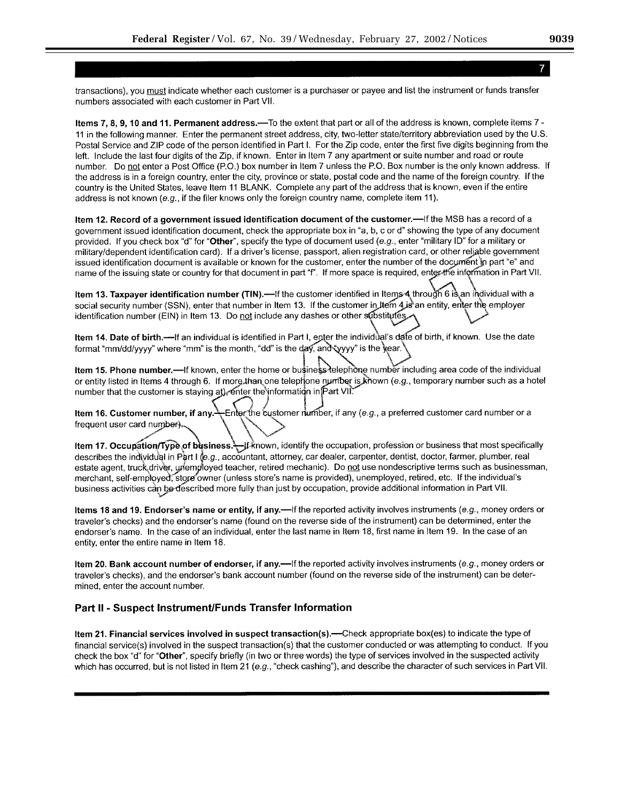transactions), you must indicate whether each customer is a purchaser or payee and list the instrument or funds transfer numbers associated with each customer in Part VII.

Items 7, 8, 9, 10 and 11. Permanent address.—To the extent that part or all of the address is known, complete items 7 -11 in the following manner. Enter the permanent street address, city, two-letter state/territory abbreviation used by the U.S. Postal Service and ZIP code of the person identified in Part I. For the Zip code, enter the first five digits beginning from the left. Include the last four digits of the Zip, if known. Enter in Item 7 any apartment or suite number and road or route number. Do not enter a Post Office (P.O.) box number in Item 7 unless the P.O. Box number is the only known address. If the address is in a foreign country, enter the city, province or state, postal code and the name of the foreign country. If the country is the United States, leave Item 11 BLANK. Complete any part of the address that is known, even if the entire address is not known (e.g., if the filer knows only the foreign country name, complete item 11).

Item 12. Record of a government issued identification document of the customer.—If the MSB has a record of a government issued identification document, check the appropriate box in "a, b, c or d" showing the type of any document provided. If you check box "d" for "Other", specify the type of document used (e.g., enter "military ID" for a military or military/dependent identification card). If a driver's license, passport, alien registration card, or other reliable government issued identification document is available or known for the customer, enter the number of the document in part "e" and name of the issuing state or country for that document in part "f". If more space is required, enter the information in Part VII.

Item 13. Taxpayer identification number (TIN).—If the customer identified in Items 4 through 6 is an individual with a social security number (SSN), enter that number in Item 13. If the customer in Item 4 is an entity, enter the employer identification number (EIN) in Item 13. Do not include any dashes or other substitutes.

Item 14. Date of birth.—If an individual is identified in Part I, enter the individual's date of birth, if known. Use the date format "mm/dd/yyyy" where "mm" is the month, "dd" is the day, and "yyyy" is the year.

Item 15. Phone number.—If known, enter the home or business relephone number including area code of the individual or entity listed in Items 4 through 6. If more than one telephone number is known (e.g., temporary number such as a hotel number that the customer is staying at), enter the information in Part VII.

Enter the customer number, if any (e.g., a preferred customer card number or a Item 16. Customer number, if any. frequent user card number).

Item 17. Occupation/Type of business. - If known, identify the occupation, profession or business that most specifically describes the individual in Part I (e.g., accountant, attorney, car dealer, carpenter, dentist, doctor, farmer, plumber, real estate agent, truck driver, unemployed teacher, retired mechanic). Do not use nondescriptive terms such as businessman, merchant, self-employed, store owner (unless store's name is provided), unemployed, retired, etc. If the individual's business activities can be described more fully than just by occupation, provide additional information in Part VII.

Items 18 and 19. Endorser's name or entity, if any.—If the reported activity involves instruments (e.g., money orders or traveler's checks) and the endorser's name (found on the reverse side of the instrument) can be determined, enter the endorser's name. In the case of an individual, enter the last name in Item 18, first name in Item 19. In the case of an entity, enter the entire name in Item 18.

Item 20. Bank account number of endorser, if any.—If the reported activity involves instruments (e.g., money orders or traveler's checks), and the endorser's bank account number (found on the reverse side of the instrument) can be determined, enter the account number.

#### Part II - Suspect Instrument/Funds Transfer Information

Item 21. Financial services involved in suspect transaction(s).—Check appropriate box(es) to indicate the type of financial service(s) involved in the suspect transaction(s) that the customer conducted or was attempting to conduct. If you check the box "d" for "Other", specify briefly (in two or three words) the type of services involved in the suspected activity which has occurred, but is not listed in Item 21 (e.g., "check cashing"), and describe the character of such services in Part VII.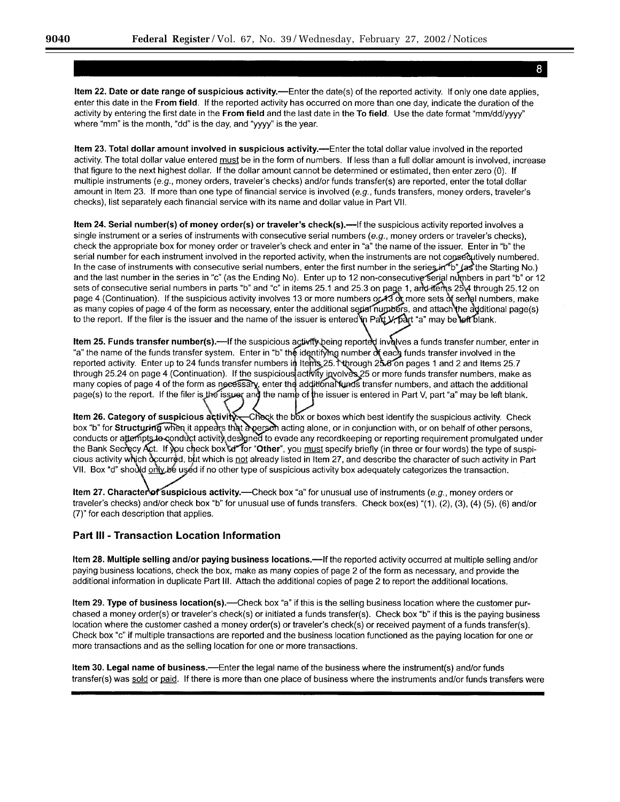Item 22. Date or date range of suspicious activity.—Enter the date(s) of the reported activity. If only one date applies, enter this date in the From field. If the reported activity has occurred on more than one day, indicate the duration of the activity by entering the first date in the From field and the last date in the To field. Use the date format "mm/dd/vvvv" where "mm" is the month, "dd" is the day, and "yyyy" is the year.

Item 23. Total dollar amount involved in suspicious activity.—Enter the total dollar value involved in the reported activity. The total dollar value entered must be in the form of numbers. If less than a full dollar amount is involved, increase that figure to the next highest dollar. If the dollar amount cannot be determined or estimated, then enter zero (0). If multiple instruments (e.g., money orders, traveler's checks) and/or funds transfer(s) are reported, enter the total dollar amount in Item 23. If more than one type of financial service is involved (e.g., funds transfers, money orders, traveler's checks). Iist separately each financial service with its name and dollar value in Part VII.

Item 24. Serial number(s) of money order(s) or traveler's check(s),—If the suspicious activity reported involves a single instrument or a series of instruments with consecutive serial numbers (e.g., money orders or traveler's checks), check the appropriate box for money order or traveler's check and enter in "a" the name of the issuer. Enter in "b" the serial number for each instrument involved in the reported activity, when the instruments are not consecutively numbered. In the case of instruments with consecutive serial numbers, enter the first number in the series in "b" (as the Starting No.) and the last number in the series in "c" (as the Ending No). Enter up to 12 non-consecutive serial numbers in part "b" or 12 sets of consecutive serial numbers in parts "b" and "c" in items 25.1 and 25.3 on page 1, and items 25.4 through 25.12 on page 4 (Continuation). If the suspicious activity involves 13 or more numbers or 43 or more sets of serial numbers, make as many copies of page 4 of the form as necessary, enter the additional secial numbers, and attach the additional page(s) to the report. If the filer is the issuer and the name of the issuer is entered in Part y part "a" may be left blank.

Item 25. Funds transfer number(s).—If the suspicious activity being reported involves a funds transfer number, enter in "a" the name of the funds transfer system. Enter in "b" the identifying number of each funds transfer involved in the reported activity. Enter up to 24 funds transfer numbers in Items. 25.1 through 25.8 on pages 1 and 2 and Items 25.7<br>through 25.24 on page 4 (Continuation). If the suspicious activity jnvolves 25 or more funds transfer num many copies of page 4 of the form as necessary, enter the additional funds transfer numbers, and attach the additional page(s) to the report. If the filer is the issuer and the name of the issuer is entered in Part V, part "a" may be left blank.

ltem 26. Category of suspicious activity. -Check the box or boxes which best identify the suspicious activity. Check box "b" for Structuring when it appears that a person acting alone, or in conjunction with, or on behalf of other persons, conducts or attempts to conduct activity designed to evade any recordkeeping or reporting requirement promulgated under the Bank Secrecy Act. If you check box ser for "Other", you must specify briefly (in three or four words) the type of suspicious activity which occurred, but which is not already listed in Item 27, and describe the character of such activity in Part VII. Box "d" should only be used if no other type of suspicious activity box adequately categorizes the transaction.

Item 27. Character of suspicious activity.—Check box "a" for unusual use of instruments (e.g., money orders or traveler's checks) and/or check box "b" for unusual use of funds transfers. Check box(es) "(1), (2), (3), (4) (5), (6) and/or (7)" for each description that applies.

#### **Part III - Transaction Location Information**

Item 28. Multiple selling and/or paying business locations.—If the reported activity occurred at multiple selling and/or paying business locations, check the box, make as many copies of page 2 of the form as necessary, and provide the additional information in duplicate Part III. Attach the additional copies of page 2 to report the additional locations.

Item 29. Type of business location(s).—Check box "a" if this is the selling business location where the customer purchased a money order(s) or traveler's check(s) or initiated a funds transfer(s). Check box "b" if this is the paying business location where the customer cashed a money order(s) or traveler's check(s) or received payment of a funds transfer(s). Check box "c" if multiple transactions are reported and the business location functioned as the paying location for one or more transactions and as the selling location for one or more transactions.

Item 30. Legal name of business.—Enter the legal name of the business where the instrument(s) and/or funds transfer(s) was sold or paid. If there is more than one place of business where the instruments and/or funds transfers were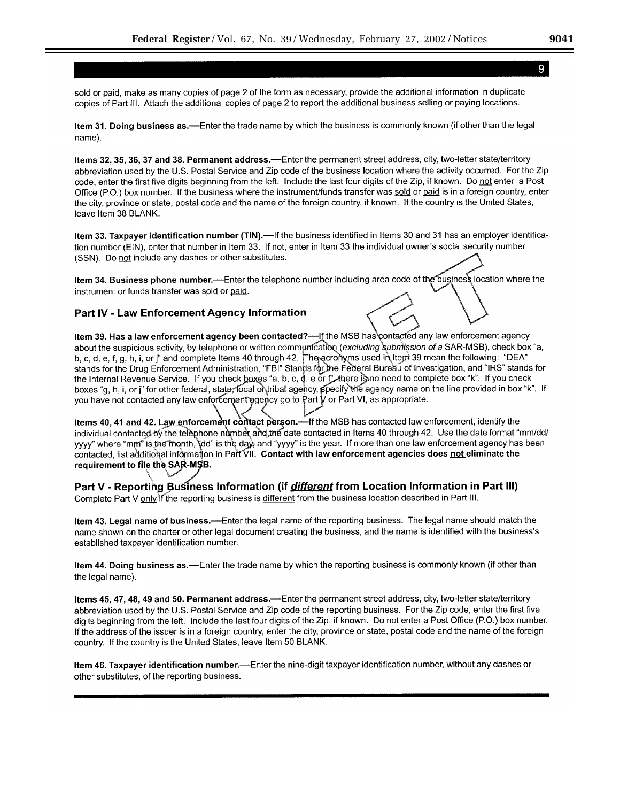sold or paid, make as many copies of page 2 of the form as necessary, provide the additional information in duplicate copies of Part III. Attach the additional copies of page 2 to report the additional business selling or paying locations.

Item 31. Doing business as.—Enter the trade name by which the business is commonly known (if other than the legal name).

Items 32, 35, 36, 37 and 38. Permanent address.—Enter the permanent street address, city, two-letter state/territory abbreviation used by the U.S. Postal Service and Zip code of the business location where the activity occurred. For the Zip code, enter the first five digits beginning from the left. Include the last four digits of the Zip, if known. Do not enter a Post Office (P.O.) box number. If the business where the instrument/funds transfer was sold or paid is in a foreign country, enter the city, province or state, postal code and the name of the foreign country, if known. If the country is the United States, leave Item 38 BLANK.

Item 33. Taxpayer identification number (TIN).—If the business identified in Items 30 and 31 has an employer identification number (EIN), enter that number in Item 33. If not, enter in Item 33 the individual owner's social security number (SSN). Do not include any dashes or other substitutes.

Item 34. Business phone number.—Enter the telephone number including area code of the business location where the instrument or funds transfer was sold or paid.

#### **Part IV - Law Enforcement Agency Information**

Item 39. Has a law enforcement agency been contacted?--- If the MSB has contacted any law enforcement agency about the suspicious activity, by telephone or written communication (excluding submission of a SAR-MSB), check box "a, b, c, d, e, f, q, h, i, or j" and complete Items 40 through 42. The acronyms used in Item 39 mean the following: "DEA" stands for the Drug Enforcement Administration, "FBI" Stands for the Federal Bureau of Investigation, and "IRS" stands for the Internal Revenue Service. If you check boxes "a, b, c, d, e or f" there is no need to complete box "k". If you check boxes "g, h, i, or j" for other federal, state, focal or tribal agency, specify the agency name on the line provided in box "k". If you have not contacted any law enforcement agency go to Part V or Part VI, as appropriate.

Items 40, 41 and 42. Law enforcement contact person.—If the MSB has contacted law enforcement, identify the individual contacted by the telephone number and the date contacted in Items 40 through 42. Use the date format "mm/dd/ yyyy" where "mm" is the month, "dd" is the day, and "yyyy" is the year. If more than one law enforcement agency has been contacted, list additional information in Part VII. Contact with law enforcement agencies does not eliminate the requirement to file the SAR-MSB.

Part V - Reporting Business Information (if different from Location Information in Part III) Complete Part V only if the reporting business is different from the business location described in Part III.

Item 43. Legal name of business.—Enter the legal name of the reporting business. The legal name should match the name shown on the charter or other legal document creating the business, and the name is identified with the business's established taxpayer identification number.

Item 44. Doing business as.—Enter the trade name by which the reporting business is commonly known (if other than the legal name).

Items 45, 47, 48, 49 and 50. Permanent address.—Enter the permanent street address, city, two-letter state/territory abbreviation used by the U.S. Postal Service and Zip code of the reporting business. For the Zip code, enter the first five digits beginning from the left. Include the last four digits of the Zip, if known. Do not enter a Post Office (P.O.) box number. If the address of the issuer is in a foreign country, enter the city, province or state, postal code and the name of the foreign country. If the country is the United States, leave Item 50 BLANK.

Item 46. Taxpayer identification number.—Enter the nine-digit taxpayer identification number, without any dashes or other substitutes, of the reporting business.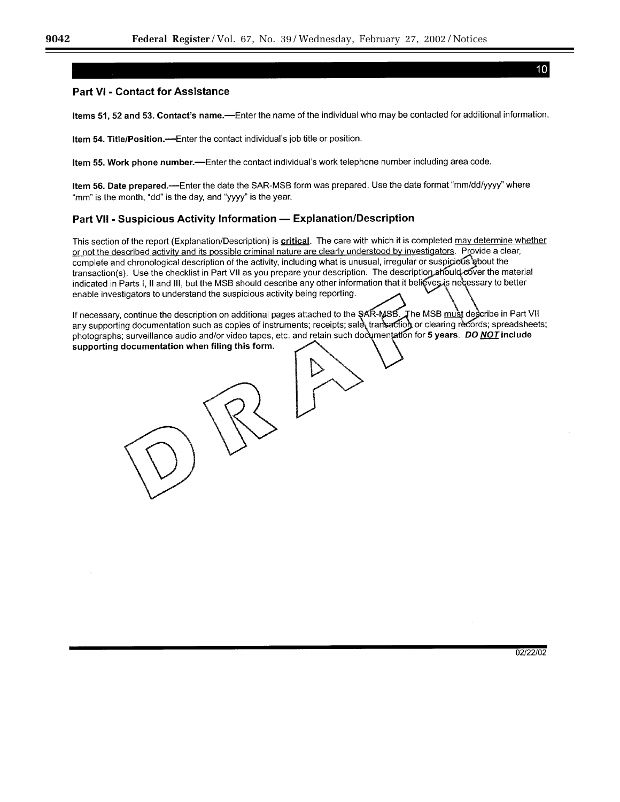## **Part VI - Contact for Assistance**

Items 51, 52 and 53. Contact's name.—Enter the name of the individual who may be contacted for additional information.

Item 54. Title/Position.—Enter the contact individual's job title or position.

Item 55. Work phone number.--Enter the contact individual's work telephone number including area code.

Item 56. Date prepared.—Enter the date the SAR-MSB form was prepared. Use the date format "mm/dd/yyyy" where "mm" is the month, "dd" is the day, and "yyyy" is the year.

## Part VII - Suspicious Activity Information - Explanation/Description

This section of the report (Explanation/Description) is critical. The care with which it is completed may determine whether or not the described activity and its possible criminal nature are clearly understood by investigators. Provide a clear, complete and chronological description of the activity, including what is unusual, irregular or suspicious about the transaction(s). Use the checklist in Part VII as you prepare your description. The description should cover the material indicated in Parts I, II and III, but the MSB should describe any other information that it believes is necessary to better enable investigators to understand the suspicious activity being reporting.

If necessary, continue the description on additional pages attached to the SAR-MSB. The MSB must describe in Part VII any supporting documentation such as copies of instruments; receipts; sale, transaction or clearing records; spreadsheets; photographs; surveillance audio and/or video tapes, etc. and retain such documentation for 5 years. DO NOT include supporting documentation when filing this form.

02/22/02